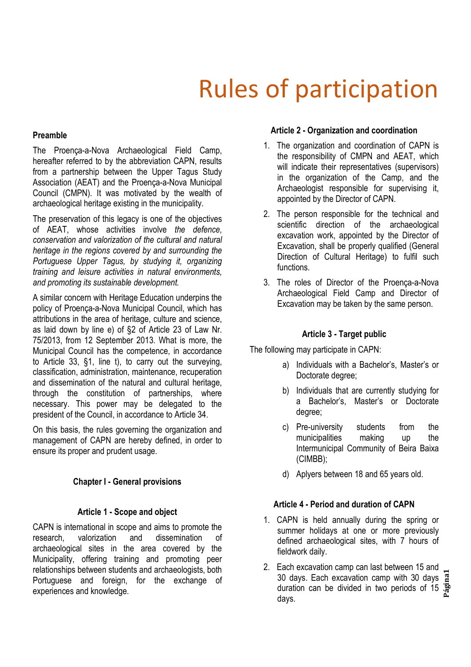# Rules of participation

#### **Preamble**

The Proença-a-Nova Archaeological Field Camp, hereafter referred to by the abbreviation CAPN, results from a partnership between the Upper Tagus Study Association (AEAT) and the Proença-a-Nova Municipal Council (CMPN). It was motivated by the wealth of archaeological heritage existing in the municipality.

The preservation of this legacy is one of the objectives of AEAT, whose activities involve *the defence, conservation and valorization of the cultural and natural heritage in the regions covered by and surrounding the Portuguese Upper Tagus, by studying it, organizing training and leisure activities in natural environments, and promoting its sustainable development.*

A similar concern with Heritage Education underpins the policy of Proença-a-Nova Municipal Council, which has attributions in the area of heritage, culture and science, as laid down by line e) of §2 of Article 23 of Law Nr. 75/2013, from 12 September 2013. What is more, the Municipal Council has the competence, in accordance to Article 33, §1, line t), to carry out the surveying, classification, administration, maintenance, recuperation and dissemination of the natural and cultural heritage, through the constitution of partnerships, where necessary. This power may be delegated to the president of the Council, in accordance to Article 34.

On this basis, the rules governing the organization and management of CAPN are hereby defined, in order to ensure its proper and prudent usage.

## **Chapter I - General provisions**

#### **Article 1 - Scope and object**

CAPN is international in scope and aims to promote the research, valorization and dissemination of archaeological sites in the area covered by the Municipality, offering training and promoting peer relationships between students and archaeologists, both Portuguese and foreign, for the exchange of experiences and knowledge.

#### **Article 2 - Organization and coordination**

- 1. The organization and coordination of CAPN is the responsibility of CMPN and AEAT, which will indicate their representatives (supervisors) in the organization of the Camp, and the Archaeologist responsible for supervising it, appointed by the Director of CAPN.
- 2. The person responsible for the technical and scientific direction of the archaeological excavation work, appointed by the Director of Excavation, shall be properly qualified (General Direction of Cultural Heritage) to fulfil such functions.
- 3. The roles of Director of the Proença-a-Nova Archaeological Field Camp and Director of Excavation may be taken by the same person.

#### **Article 3 - Target public**

The following may participate in CAPN:

- a) Individuals with a Bachelor's, Master's or Doctorate degree;
- b) Individuals that are currently studying for a Bachelor's, Master's or Doctorate degree;
- c) Pre-university students from the municipalities making up the Intermunicipal Community of Beira Baixa (CIMBB);
- d) Aplyers between 18 and 65 years old.

## **Article 4 - Period and duration of CAPN**

- 1. CAPN is held annually during the spring or summer holidays at one or more previously defined archaeological sites, with 7 hours of fieldwork daily.
- **Página1** 2. Each excavation camp can last between 15 and 30 days. Each excavation camp with 30 days duration can be divided in two periods of 15 days.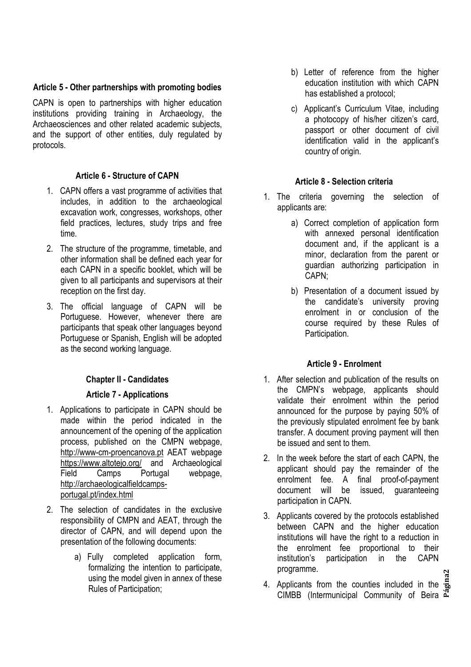## **Article 5 - Other partnerships with promoting bodies**

CAPN is open to partnerships with higher education institutions providing training in Archaeology, the Archaeosciences and other related academic subjects, and the support of other entities, duly regulated by protocols.

# **Article 6 - Structure of CAPN**

- 1. CAPN offers a vast programme of activities that includes, in addition to the archaeological excavation work, congresses, workshops, other field practices, lectures, study trips and free time.
- 2. The structure of the programme, timetable, and other information shall be defined each year for each CAPN in a specific booklet, which will be given to all participants and supervisors at their reception on the first day.
- 3. The official language of CAPN will be Portuguese. However, whenever there are participants that speak other languages beyond Portuguese or Spanish, English will be adopted as the second working language.

# **Chapter II - Candidates**

# **Article 7 - Applications**

- 1. Applications to participate in CAPN should be made within the period indicated in the announcement of the opening of the application process, published on the CMPN webpage, http://www-cm-proencanova.pt AEAT webpage https://www.altotejo.org/ and Archaeological<br>Field Camps Portugal webpage. Field Camps Portugal webpage, http://archaeologicalfieldcampsportugal.pt/index.html
- 2. The selection of candidates in the exclusive responsibility of CMPN and AEAT, through the director of CAPN, and will depend upon the presentation of the following documents:
	- a) Fully completed application form, formalizing the intention to participate, using the model given in annex of these Rules of Participation;
- b) Letter of reference from the higher education institution with which CAPN has established a protocol;
- c) Applicant's Curriculum Vitae, including a photocopy of his/her citizen's card, passport or other document of civil identification valid in the applicant's country of origin.

# **Article 8 - Selection criteria**

- 1. The criteria governing the selection of applicants are:
	- a) Correct completion of application form with annexed personal identification document and, if the applicant is a minor, declaration from the parent or guardian authorizing participation in CAPN;
	- b) Presentation of a document issued by the candidate's university proving enrolment in or conclusion of the course required by these Rules of Participation.

# **Article 9 - Enrolment**

- 1. After selection and publication of the results on the CMPN's webpage, applicants should validate their enrolment within the period announced for the purpose by paying 50% of the previously stipulated enrolment fee by bank transfer. A document proving payment will then be issued and sent to them.
- 2. In the week before the start of each CAPN, the applicant should pay the remainder of the enrolment fee. A final proof-of-payment document will be issued, quaranteeing participation in CAPN.
- 3. Applicants covered by the protocols established between CAPN and the higher education institutions will have the right to a reduction in the enrolment fee proportional to their institution's participation in the CAPN programme.
- **Página2** 4. Applicants from the counties included in the CIMBB (Intermunicipal Community of Beira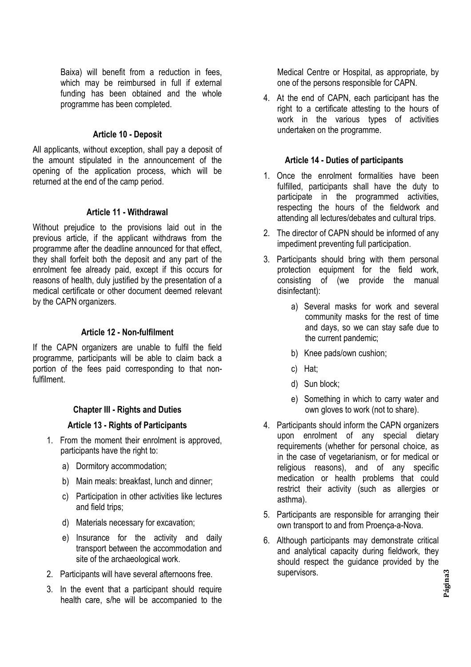Baixa) will benefit from a reduction in fees, which may be reimbursed in full if external funding has been obtained and the whole programme has been completed.

## **Article 10 - Deposit**

All applicants, without exception, shall pay a deposit of the amount stipulated in the announcement of the opening of the application process, which will be returned at the end of the camp period.

## **Article 11 - Withdrawal**

Without prejudice to the provisions laid out in the previous article, if the applicant withdraws from the programme after the deadline announced for that effect, they shall forfeit both the deposit and any part of the enrolment fee already paid, except if this occurs for reasons of health, duly justified by the presentation of a medical certificate or other document deemed relevant by the CAPN organizers.

## **Article 12 - Non-fulfilment**

If the CAPN organizers are unable to fulfil the field programme, participants will be able to claim back a portion of the fees paid corresponding to that nonfulfilment.

## **Chapter III - Rights and Duties**

## **Article 13 - Rights of Participants**

- 1. From the moment their enrolment is approved, participants have the right to:
	- a) Dormitory accommodation;
	- b) Main meals: breakfast, lunch and dinner;
	- c) Participation in other activities like lectures and field trips;
	- d) Materials necessary for excavation;
	- e) Insurance for the activity and daily transport between the accommodation and site of the archaeological work.
- 2. Participants will have several afternoons free.
- 3. In the event that a participant should require health care, s/he will be accompanied to the

Medical Centre or Hospital, as appropriate, by one of the persons responsible for CAPN.

4. At the end of CAPN, each participant has the right to a certificate attesting to the hours of work in the various types of activities undertaken on the programme.

#### **Article 14 - Duties of participants**

- 1. Once the enrolment formalities have been fulfilled, participants shall have the duty to participate in the programmed activities, respecting the hours of the fieldwork and attending all lectures/debates and cultural trips.
- 2. The director of CAPN should be informed of any impediment preventing full participation.
- 3. Participants should bring with them personal protection equipment for the field work, consisting of (we provide the manual disinfectant):
	- a) Several masks for work and several community masks for the rest of time and days, so we can stay safe due to the current pandemic;
	- b) Knee pads/own cushion;
	- c) Hat;
	- d) Sun block;
	- e) Something in which to carry water and own gloves to work (not to share).
- 4. Participants should inform the CAPN organizers upon enrolment of any special dietary requirements (whether for personal choice, as in the case of vegetarianism, or for medical or religious reasons), and of any specific medication or health problems that could restrict their activity (such as allergies or asthma).
- 5. Participants are responsible for arranging their own transport to and from Proença-a-Nova.
- 6. Although participants may demonstrate critical and analytical capacity during fieldwork, they should respect the guidance provided by the supervisors.